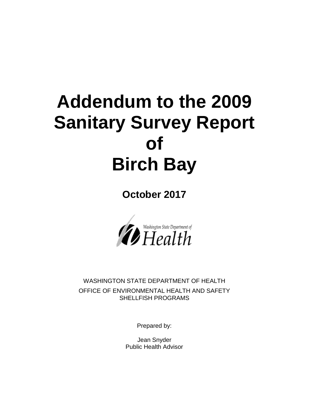# **Addendum to the 2009 Sanitary Survey Report of Birch Bay**

**October 2017**



WASHINGTON STATE DEPARTMENT OF HEALTH OFFICE OF ENVIRONMENTAL HEALTH AND SAFETY SHELLFISH PROGRAMS

Prepared by:

Jean Snyder Public Health Advisor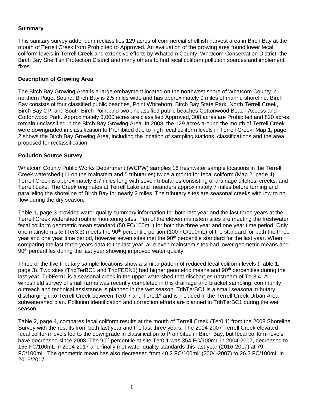## **Summary**

This sanitary survey addendum reclassifies 129 acres of commercial shellfish harvest area in Birch Bay at the mouth of Terrell Creek from Prohibited to Approved. An evaluation of the growing area found lower fecal coliform levels in Terrell Creek and extensive efforts by Whatcom County, Whatcom Conservation District, the Birch Bay Shellfish Protection District and many others to find fecal coliform pollution sources and implement fixes.

## **Description of Growing Area**

The Birch Bay Growing Area is a large embayment located on the northwest shore of Whatcom County in northern Puget Sound. Birch Bay is 2.5 miles wide and has approximately 9 miles of marine shoreline. Birch Bay consists of four classified public beaches, Point Whitehorn, Birch Bay State Park, North Terrell Creek, Birch Bay CP, and South Birch Point and two unclassified public beaches Cottonwood Beach Access and Cottonwood Park. Approximately 3,000 acres are classified Approved, 308 acres are Prohibited and 820 acres remain unclassified in the Birch Bay Growing Area. In 2008, the 129 acres around the mouth of Terrell Creek were downgraded in classification to Prohibited due to high fecal coliform levels in Terrell Creek. Map 1, page 2 shows the Birch Bay Growing Area, including the location of sampling stations, classifications and the area proposed for reclassification.

### **Pollution Source Survey**

Whatcom County Public Works Department (WCPW) samples 16 freshwater sample locations in the Terrell Creek watershed (11 on the mainstem and 5 tributaries) twice a month for fecal coliform (Map 2, page 4). Terrell Creek is approximately 8.7 miles long with seven tributaries consisting of drainage ditches, creeks, and Terrell Lake. The Creek originates at Terrell Lake and meanders approximately 7 miles before turning and paralleling the shoreline of Birch Bay for nearly 2 miles. The tributary sites are seasonal creeks with low to no flow during the dry season.

Table 1, page 3 provides water quality summary information for both last year and the last three years at the Terrell Creek watershed routine monitoring sites. Ten of the eleven mainstem sites are meeting the freshwater fecal coliform geometric mean standard (50 FC/100mL) for both the three year and one year time period. Only one mainstem site (Ter3.3) meets the 90<sup>th</sup> percentile portion (100 FC/100mL) of the standard for both the three year and one year time period, however seven sites met the 90<sup>th</sup> percentile standard for the last year. When comparing the last three years data to the last year, all eleven mainstem sites had lower geometric means and 90<sup>th</sup> percentiles during the last year showing improved water quality.

Three of the five tributary sample locations show a similar pattern of reduced fecal coliform levels (Table 1, page 3). Two sites (TribTerBC1 and TribFERN1) had higher geometric means and 90<sup>th</sup> percentiles during the last year. TribFern1 is a seasonal creek in the upper watershed that discharges upstream of Ter8.4. A windshield survey of small farms was recently completed in this drainage and bracket sampling, community outreach and technical assistance is planned in the wet season. TribTerBC1 is a small seasonal tributary discharging into Terrell Creek between Ter0.7 and Ter0.1\* and is included in the Terrell Creek Urban Area subwatershed plan. Pollution identification and correction efforts are planned in TribTerBC1 during the wet season.

Table 2, page 4, compares fecal coliform results at the mouth of Terrell Creek (Ter0.1) from the 2008 Shoreline Survey with the results from both last year and the last three years. The 2004-2007 Terrell Creek elevated fecal coliform levels led to the downgrade in classification to Prohibited in Birch Bay, but fecal coliform levels have decreased since 2008. The 90<sup>th</sup> percentile at site Ter0.1 was 354 FC/100mL in 2004-2007, decreased to 156 FC/100mL in 2014-2017 and finally met water quality standards this last year (2016-2017) at 79 FC/100mL. The geometric mean has also decreased from 40.2 FC/100mL (2004-2007) to 26.2 FC/100mL in 2016/2017.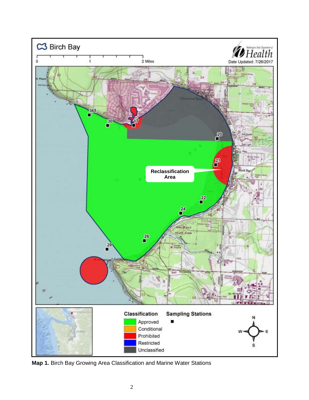

**Map 1.** Birch Bay Growing Area Classification and Marine Water Stations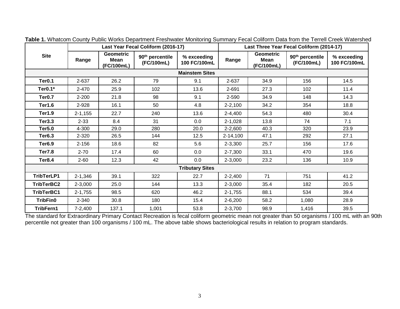|                        | Last Year Fecal Coliform (2016-17) |                                               |                                           |                             | Last Three Year Fecal Coliform (2014-17) |                                        |                                           |                             |  |  |  |
|------------------------|------------------------------------|-----------------------------------------------|-------------------------------------------|-----------------------------|------------------------------------------|----------------------------------------|-------------------------------------------|-----------------------------|--|--|--|
| <b>Site</b>            | Range                              | <b>Geometric</b><br><b>Mean</b><br>(FC/100mL) | 90 <sup>th</sup> percentile<br>(FC/100mL) | % exceeding<br>100 FC/100mL | Range                                    | <b>Geometric</b><br>Mean<br>(FC/100mL) | 90 <sup>th</sup> percentile<br>(FC/100mL) | % exceeding<br>100 FC/100mL |  |  |  |
| <b>Mainstem Sites</b>  |                                    |                                               |                                           |                             |                                          |                                        |                                           |                             |  |  |  |
| Ter <sub>0.1</sub>     | 2-637                              | 26.2                                          | 79                                        | 9.1                         | 2-637                                    | 34.9                                   | 156                                       | 14.5                        |  |  |  |
| Ter0.1*                | 2-470                              | 25.9                                          | 102                                       | 13.6                        | 2-691                                    | 27.3                                   | 102                                       | 11.4                        |  |  |  |
| Ter <sub>0.7</sub>     | 2-200                              | 21.8                                          | 98                                        | 9.1                         | 2-590                                    | 34.9                                   | 148                                       | 14.3                        |  |  |  |
| <b>Ter1.6</b>          | 2-928                              | 16.1                                          | 50                                        | 4.8                         | $2 - 2,100$                              | 34.2                                   | 354                                       | 18.8                        |  |  |  |
| <b>Ter1.9</b>          | $2 - 1,155$                        | 22.7                                          | 240                                       | 13.6                        | 2-4,400                                  | 54.3                                   | 480                                       | 30.4                        |  |  |  |
| <b>Ter3.3</b>          | $2 - 33$                           | 8.4                                           | 31                                        | 0.0                         | $2-1,028$                                | 13.8                                   | 74                                        | 7.1                         |  |  |  |
| <b>Ter5.0</b>          | 4-300                              | 29.0                                          | 280                                       | 20.0                        | $2 - 2,600$                              | 40.3                                   | 320                                       | 23.9                        |  |  |  |
| <b>Ter6.3</b>          | 2-320                              | 26.5                                          | 144                                       | 12.5                        | 2-14,100                                 | 47.1                                   | 292                                       | 27.1                        |  |  |  |
| <b>Ter6.9</b>          | $2 - 156$                          | 18.6                                          | 82                                        | 5.6                         | 2-3,300                                  | 25.7                                   | 156                                       | 17.6                        |  |  |  |
| <b>Ter7.8</b>          | $2 - 70$                           | 17.4                                          | 60                                        | 0.0                         | $2 - 7,300$                              | 33.1                                   | 470                                       | 19.6                        |  |  |  |
| Ter8.4                 | $2 - 60$                           | 12.3                                          | 42                                        | 0.0                         | $2 - 3,000$                              | 23.2                                   | 136                                       | 10.9                        |  |  |  |
| <b>Tributary Sites</b> |                                    |                                               |                                           |                             |                                          |                                        |                                           |                             |  |  |  |
| TribTerLP1             | $2 - 1,346$                        | 39.1                                          | 322                                       | 22.7                        | $2 - 2,400$                              | 71                                     | 751                                       | 41.2                        |  |  |  |
| TribTerBC2             | 2-3,000                            | 25.0                                          | 144                                       | 13.3                        | $2 - 3,000$                              | 35.4                                   | 182                                       | 20.5                        |  |  |  |
| TribTerBC1             | $2 - 1,755$                        | 98.5                                          | 620                                       | 46.2                        | $2 - 1,755$                              | 88.1                                   | 534                                       | 39.4                        |  |  |  |
| <b>TribFin0</b>        | 2-340                              | 30.8                                          | 180                                       | 15.4                        | $2 - 6,200$                              | 58.2                                   | 1,080                                     | 28.9                        |  |  |  |
| TribFern1              | $7-2,400$                          | 137.1                                         | 1,001                                     | 53.8                        | 2-3,700                                  | 98.9                                   | 1,416                                     | 39.5                        |  |  |  |

**Table 1.** Whatcom County Public Works Department Freshwater Monitoring Summary Fecal Coliform Data from the Terrell Creek Watershed

The standard for Extraordinary Primary Contact Recreation is fecal coliform geometric mean not greater than 50 organisms / 100 mL with an 90th percentile not greater than 100 organisms / 100 mL. The above table shows bacteriological results in relation to program standards.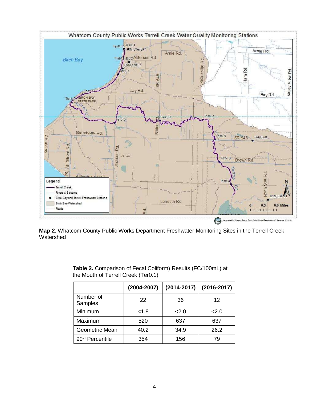

**Map 2.** Whatcom County Public Works Department Freshwater Monitoring Sites in the Terrell Creek Watershed

|                             | $(2004 - 2007)$ | $(2014 - 2017)$ | $(2016 - 2017)$ |
|-----------------------------|-----------------|-----------------|-----------------|
| Number of<br>Samples        | 22              | 36              | 12              |
| Minimum                     | < 1.8           | 2.0             | 2.0             |
| Maximum                     | 520             | 637             | 637             |
| Geometric Mean              | 40.2            | 34.9            | 26.2            |
| 90 <sup>th</sup> Percentile | 354             | 156             | 79              |

**Table 2.** Comparison of Fecal Coliform) Results (FC/100mL) at the Mouth of Terrell Creek (Ter0.1)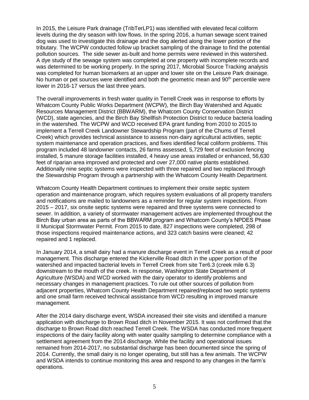In 2015, the Leisure Park drainage (TribTerLP1) was identified with elevated fecal coliform levels during the dry season with low flows. In the spring 2016, a human sewage scent trained dog was used to investigate this drainage and the dog alerted along the lower portion of the tributary. The WCPW conducted follow up bracket sampling of the drainage to find the potential pollution sources. The side sewer as-built and home permits were reviewed in this watershed. A dye study of the sewage system was completed at one property with incomplete records and was determined to be working properly. In the spring 2017, Microbial Source Tracking analysis was completed for human biomarkers at an upper and lower site on the Leisure Park drainage. No human or pet sources were identified and both the geometric mean and  $90<sup>th</sup>$  percentile were lower in 2016-17 versus the last three years.

The overall improvements in fresh water quality in Terrell Creek was in response to efforts by Whatcom County Public Works Department (WCPW), the Birch Bay Watershed and Aquatic Resources Management District (BBWARM), the Whatcom County Conservation District (WCD), state agencies, and the Birch Bay Shellfish Protection District to reduce bacteria loading in the watershed. The WCPW and WCD received EPA grant funding from 2010 to 2015 to implement a Terrell Creek Landowner Stewardship Program (part of the Chums of Terrell Creek) which provides technical assistance to assess non-dairy agricultural activities, septic system maintenance and operation practices, and fixes identified fecal coliform problems. This program included 48 landowner contacts, 26 farms assessed, 5,729 feet of exclusion fencing installed, 5 manure storage facilities installed, 4 heavy use areas installed or enhanced, 56,630 feet of riparian area improved and protected and over 27,000 native plants established. Additionally nine septic systems were inspected with three repaired and two replaced through the Stewardship Program through a partnership with the Whatcom County Health Department.

Whatcom County Health Department continues to implement their onsite septic system operation and maintenance program, which requires system evaluations of all property transfers and notifications are mailed to landowners as a reminder for regular system inspections. From 2015 – 2017, six onsite septic systems were repaired and three systems were connected to sewer. In addition, a variety of stormwater management actives are implemented throughout the Birch Bay urban area as parts of the BBWARM program and Whatcom County's NPDES Phase II Municipal Stormwater Permit. From 2015 to date, 827 inspections were completed, 298 of those inspections required maintenance actions, and 323 catch basins were cleaned; 42 repaired and 1 replaced.

In January 2014, a small dairy had a manure discharge event in Terrell Creek as a result of poor management. This discharge entered the Kickerville Road ditch in the upper portion of the watershed and impacted bacterial levels in Terrell Creek from site Ter6.3 (creek mile 6.3) downstream to the mouth of the creek. In response, Washington State Department of Agriculture (WSDA) and WCD worked with the dairy operator to identify problems and necessary changes in management practices. To rule out other sources of pollution from adjacent properties, Whatcom County Health Department repaired/replaced two septic systems and one small farm received technical assistance from WCD resulting in improved manure management.

After the 2014 dairy discharge event, WSDA increased their site visits and identified a manure application with discharge to Brown Road ditch in November 2015. It was not confirmed that the discharge to Brown Road ditch reached Terrell Creek. The WSDA has conducted more frequent inspections of the dairy facility along with water quality sampling to determine compliance with a settlement agreement from the 2014 discharge. While the facility and operational issues remained from 2014-2017, no substantial discharge has been documented since the spring of 2014. Currently, the small dairy is no longer operating, but still has a few animals. The WCPW and WSDA intends to continue monitoring this area and respond to any changes in the farm's operations.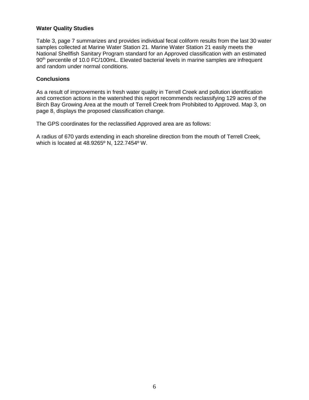#### **Water Quality Studies**

Table 3, page 7 summarizes and provides individual fecal coliform results from the last 30 water samples collected at Marine Water Station 21. Marine Water Station 21 easily meets the National Shellfish Sanitary Program standard for an Approved classification with an estimated 90<sup>th</sup> percentile of 10.0 FC/100mL. Elevated bacterial levels in marine samples are infrequent and random under normal conditions.

#### **Conclusions**

As a result of improvements in fresh water quality in Terrell Creek and pollution identification and correction actions in the watershed this report recommends reclassifying 129 acres of the Birch Bay Growing Area at the mouth of Terrell Creek from Prohibited to Approved. Map 3, on page 8, displays the proposed classification change.

The GPS coordinates for the reclassified Approved area are as follows:

A radius of 670 yards extending in each shoreline direction from the mouth of Terrell Creek, which is located at 48.9265º N, 122.7454º W.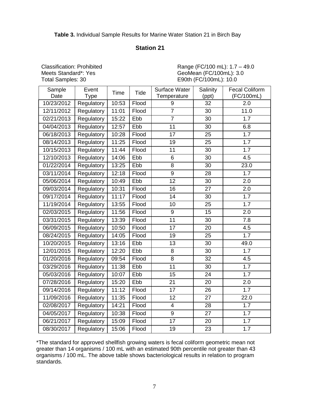# **Table 3.** Individual Sample Results for Marine Water Station 21 in Birch Bay

# **Station 21**

Classification: Prohibited Meets Standard\*: Yes Total Samples: 30

 Range (FC/100 mL): 1.7 – 49.0 GeoMean (FC/100mL): 3.0 E90th (FC/100mL): 10.0

| Sample<br>Date | Event<br>Type | Time  | <b>Tide</b> | Surface Water<br>Temperature | Salinity<br>(ppt) | <b>Fecal Coliform</b><br>(FC/100mL) |
|----------------|---------------|-------|-------------|------------------------------|-------------------|-------------------------------------|
| 10/23/2012     | Regulatory    | 10:53 | Flood       | 9                            | 32                | 2.0                                 |
| 12/11/2012     | Regulatory    | 11:01 | Flood       | $\overline{7}$               | 30                | 11.0                                |
| 02/21/2013     | Regulatory    | 15:22 | Ebb         | $\overline{7}$               | 30                | 7.7                                 |
| 04/04/2013     | Regulatory    | 12:57 | Ebb         | 11                           | 30                | 6.8                                 |
| 06/18/2013     | Regulatory    | 10:28 | Flood       | 17                           | 25                | $\overline{1.7}$                    |
| 08/14/2013     | Regulatory    | 11:25 | Flood       | 19                           | 25                | 1.7                                 |
| 10/15/2013     | Regulatory    | 11:44 | Flood       | 11                           | 30                | 1.7                                 |
| 12/10/2013     | Regulatory    | 14:06 | Ebb         | 6                            | 30                | 4.5                                 |
| 01/22/2014     | Regulatory    | 13:25 | Ebb         | 8                            | 30                | 23.0                                |
| 03/11/2014     | Regulatory    | 12:18 | Flood       | $\overline{9}$               | 28                | 1.7                                 |
| 05/06/2014     | Regulatory    | 10:49 | Ebb         | 12                           | 30                | 2.0                                 |
| 09/03/2014     | Regulatory    | 10:31 | Flood       | 16                           | 27                | 2.0                                 |
| 09/17/2014     | Regulatory    | 11:17 | Flood       | $\overline{14}$              | 30                | 1.7                                 |
| 11/19/2014     | Regulatory    | 13:55 | Flood       | 10                           | 25                | 1.7                                 |
| 02/03/2015     | Regulatory    | 11:56 | Flood       | $\boldsymbol{9}$             | 15                | 2.0                                 |
| 03/31/2015     | Regulatory    | 13:39 | Flood       | $\overline{11}$              | 30                | 7.8                                 |
| 06/09/2015     | Regulatory    | 10:50 | Flood       | 17                           | 20                | 4.5                                 |
| 08/24/2015     | Regulatory    | 14:05 | Flood       | 19                           | 25                | 1.7                                 |
| 10/20/2015     | Regulatory    | 13:16 | Ebb         | 13                           | 30                | 49.0                                |
| 12/01/2015     | Regulatory    | 12:20 | Ebb         | 8                            | 30                | 1.7                                 |
| 01/20/2016     | Regulatory    | 09:54 | Flood       | $\overline{8}$               | 32                | 4.5                                 |
| 03/29/2016     | Regulatory    | 11:38 | Ebb         | 11                           | 30                | 1.7                                 |
| 05/03/2016     | Regulatory    | 10:07 | Ebb         | 15                           | 24                | 1.7                                 |
| 07/28/2016     | Regulatory    | 15:20 | Ebb         | $\overline{21}$              | 20                | 2.0                                 |
| 09/14/2016     | Regulatory    | 11:12 | Flood       | 17                           | 26                | 1.7                                 |
| 11/09/2016     | Regulatory    | 11:35 | Flood       | 12                           | 27                | 22.0                                |
| 02/08/2017     | Regulatory    | 14:21 | Flood       | 4                            | 28                | 1.7                                 |
| 04/05/2017     | Regulatory    | 10:38 | Flood       | 9                            | 27                | 1.7                                 |
| 06/21/2017     | Regulatory    | 15:09 | Flood       | $\overline{17}$              | 20                | 1.7                                 |
| 08/30/2017     | Regulatory    | 15:06 | Flood       | 19                           | 23                | 1.7                                 |

\*The standard for approved shellfish growing waters is fecal coliform geometric mean not greater than 14 organisms / 100 mL with an estimated 90th percentile not greater than 43 organisms / 100 mL. The above table shows bacteriological results in relation to program standards.